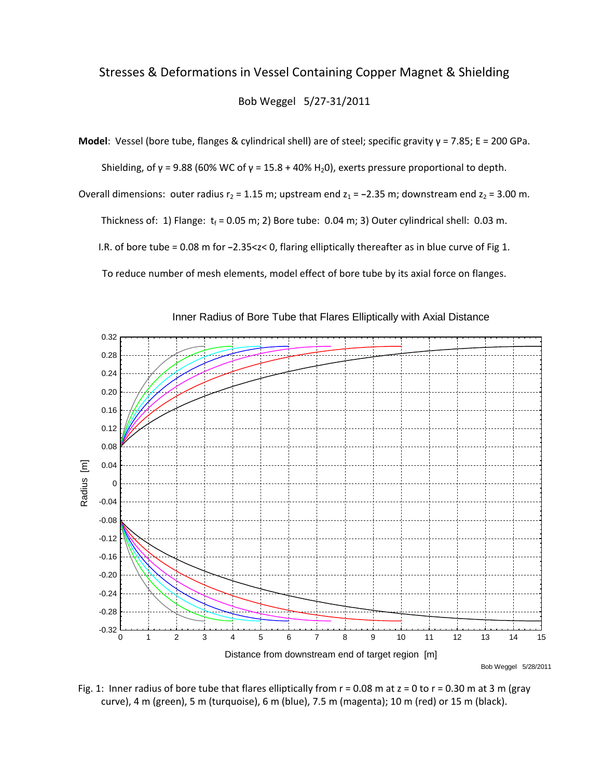## Stresses & Deformations in Vessel Containing Copper Magnet & Shielding Bob Weggel 5/27‐31/2011

**Model**: Vessel (bore tube, flanges & cylindrical shell) are of steel; specific gravity γ = 7.85; E = 200 GPa.

Shielding, of  $\gamma$  = 9.88 (60% WC of  $\gamma$  = 15.8 + 40% H<sub>2</sub>0), exerts pressure proportional to depth.

Overall dimensions: outer radius  $r_2 = 1.15$  m; upstream end  $z_1 = -2.35$  m; downstream end  $z_2 = 3.00$  m.

Thickness of: 1) Flange:  $t_f$  = 0.05 m; 2) Bore tube: 0.04 m; 3) Outer cylindrical shell: 0.03 m.

I.R. of bore tube = 0.08 m for **−**2.35<z< 0, flaring elliptically thereafter as in blue curve of Fig 1.

To reduce number of mesh elements, model effect of bore tube by its axial force on flanges.



Inner Radius of Bore Tube that Flares Elliptically with Axial Distance

Bob Weggel 5/28/2011

Fig. 1: Inner radius of bore tube that flares elliptically from  $r = 0.08$  m at  $z = 0$  to  $r = 0.30$  m at 3 m (gray curve), 4 m (green), 5 m (turquoise), 6 m (blue), 7.5 m (magenta); 10 m (red) or 15 m (black).